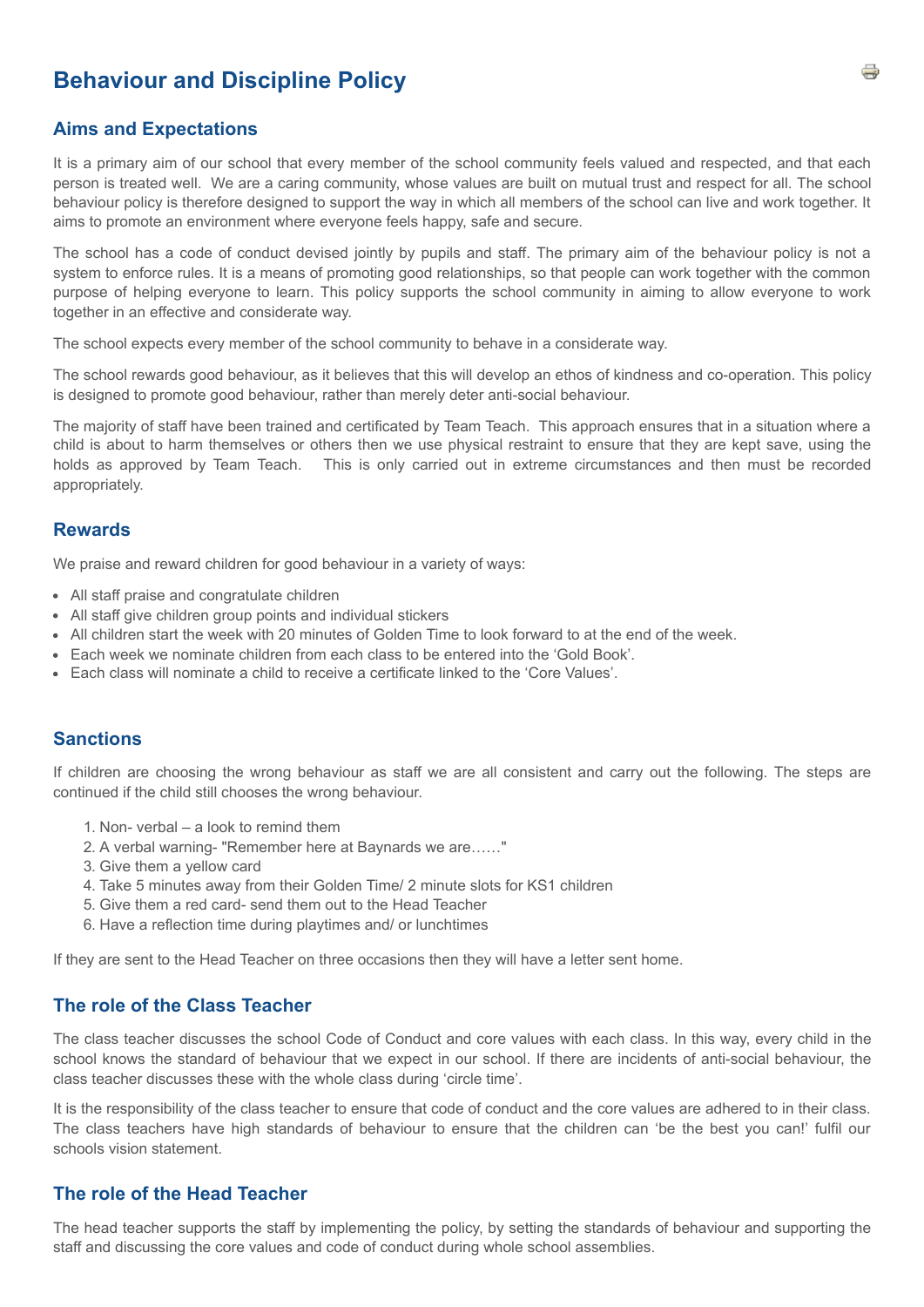# **Behaviour and Discipline Policy**

#### **Aims and Expectations**

It is a primary aim of our school that every member of the school community feels valued and respected, and that each person is treated well. We are a caring community, whose values are built on mutual trust and respect for all. The school behaviour policy is therefore designed to support the way in which all members of the school can live and work together. It aims to promote an environment where everyone feels happy, safe and secure.

The school has a code of conduct devised jointly by pupils and staff. The primary aim of the behaviour policy is not a system to enforce rules. It is a means of promoting good relationships, so that people can work together with the common purpose of helping everyone to learn. This policy supports the school community in aiming to allow everyone to work together in an effective and considerate way.

The school expects every member of the school community to behave in a considerate way.

The school rewards good behaviour, as it believes that this will develop an ethos of kindness and co-operation. This policy is designed to promote good behaviour, rather than merely deter anti-social behaviour.

The majority of staff have been trained and certificated by Team Teach. This approach ensures that in a situation where a child is about to harm themselves or others then we use physical restraint to ensure that they are kept save, using the holds as approved by Team Teach. This is only carried out in extreme circumstances and then must be recorded appropriately.

#### **Rewards**

We praise and reward children for good behaviour in a variety of ways:

- All staff praise and congratulate children
- All staff give children group points and individual stickers
- All children start the week with 20 minutes of Golden Time to look forward to at the end of the week.
- Each week we nominate children from each class to be entered into the 'Gold Book'.
- Each class will nominate a child to receive a certificate linked to the 'Core Values'.

# **Sanctions**

If children are choosing the wrong behaviour as staff we are all consistent and carry out the following. The steps are continued if the child still chooses the wrong behaviour.

- 1. Non- verbal a look to remind them
- 2. A verbal warning- "Remember here at Baynards we are……"
- 3. Give them a yellow card
- 4. Take 5 minutes away from their Golden Time/ 2 minute slots for KS1 children
- 5. Give them a red card- send them out to the Head Teacher
- 6. Have a reflection time during playtimes and/ or lunchtimes

If they are sent to the Head Teacher on three occasions then they will have a letter sent home.

#### **The role of the Class Teacher**

The class teacher discusses the school Code of Conduct and core values with each class. In this way, every child in the school knows the standard of behaviour that we expect in our school. If there are incidents of anti-social behaviour, the class teacher discusses these with the whole class during 'circle time'.

It is the responsibility of the class teacher to ensure that code of conduct and the core values are adhered to in their class. The class teachers have high standards of behaviour to ensure that the children can 'be the best you can!' fulfil our schools vision statement.

#### **The role of the Head Teacher**

The head teacher supports the staff by implementing the policy, by setting the standards of behaviour and supporting the staff and discussing the core values and code of conduct during whole school assemblies.